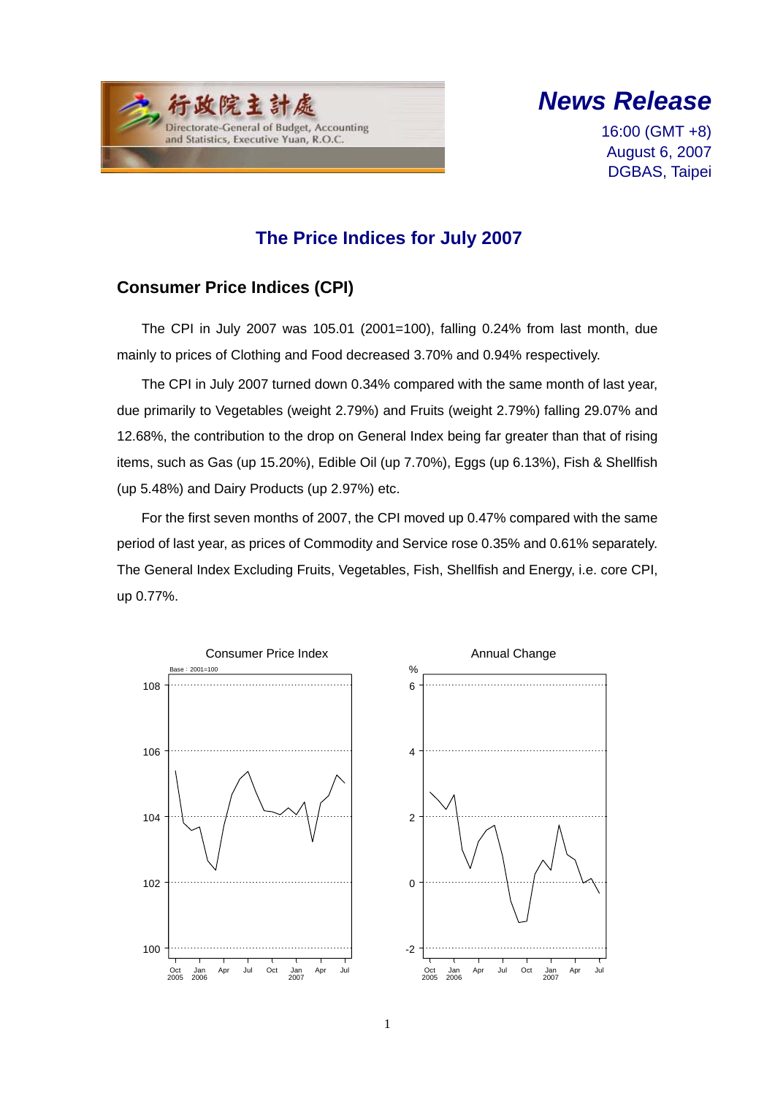



16:00 (GMT +8) August 6, 2007 DGBAS, Taipei

### **The Price Indices for July 2007**

### **Consumer Price Indices (CPI)**

The CPI in July 2007 was 105.01 (2001=100), falling 0.24% from last month, due mainly to prices of Clothing and Food decreased 3.70% and 0.94% respectively.

The CPI in July 2007 turned down 0.34% compared with the same month of last year, due primarily to Vegetables (weight 2.79%) and Fruits (weight 2.79%) falling 29.07% and 12.68%, the contribution to the drop on General Index being far greater than that of rising items, such as Gas (up 15.20%), Edible Oil (up 7.70%), Eggs (up 6.13%), Fish & Shellfish (up 5.48%) and Dairy Products (up 2.97%) etc.

For the first seven months of 2007, the CPI moved up 0.47% compared with the same period of last year, as prices of Commodity and Service rose 0.35% and 0.61% separately. The General Index Excluding Fruits, Vegetables, Fish, Shellfish and Energy, i.e. core CPI, up 0.77%.

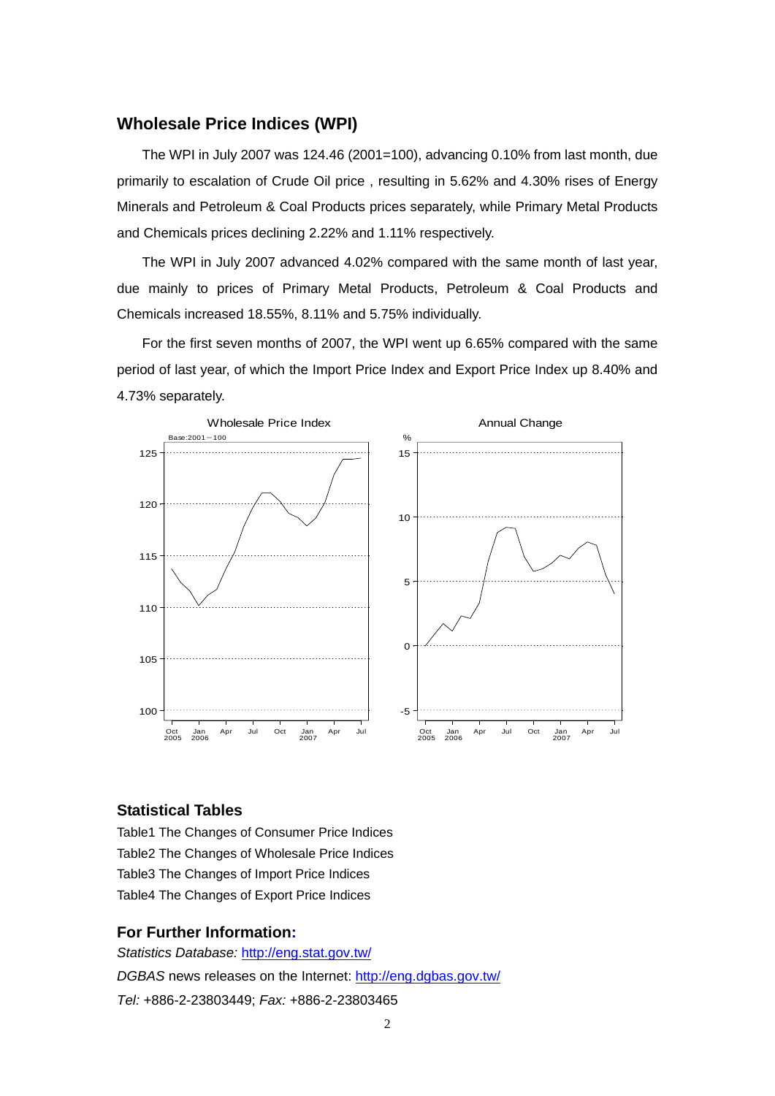#### **Wholesale Price Indices (WPI)**

The WPI in July 2007 was 124.46 (2001=100), advancing 0.10% from last month, due primarily to escalation of Crude Oil price , resulting in 5.62% and 4.30% rises of Energy Minerals and Petroleum & Coal Products prices separately, while Primary Metal Products and Chemicals prices declining 2.22% and 1.11% respectively.

The WPI in July 2007 advanced 4.02% compared with the same month of last year, due mainly to prices of Primary Metal Products, Petroleum & Coal Products and Chemicals increased 18.55%, 8.11% and 5.75% individually.

For the first seven months of 2007, the WPI went up 6.65% compared with the same period of last year, of which the Import Price Index and Export Price Index up 8.40% and 4.73% separately.



#### **Statistical Tables**

Table1 The Changes of Consumer Price Indices Table2 The Changes of Wholesale Price Indices Table3 The Changes of Import Price Indices Table4 The Changes of Export Price Indices

#### **For Further Information:**

*Statistics Database:* http://eng.stat.gov.tw/ *DGBAS* news releases on the Internet: http://eng.dgbas.gov.tw/ *Tel:* +886-2-23803449; *Fax:* +886-2-23803465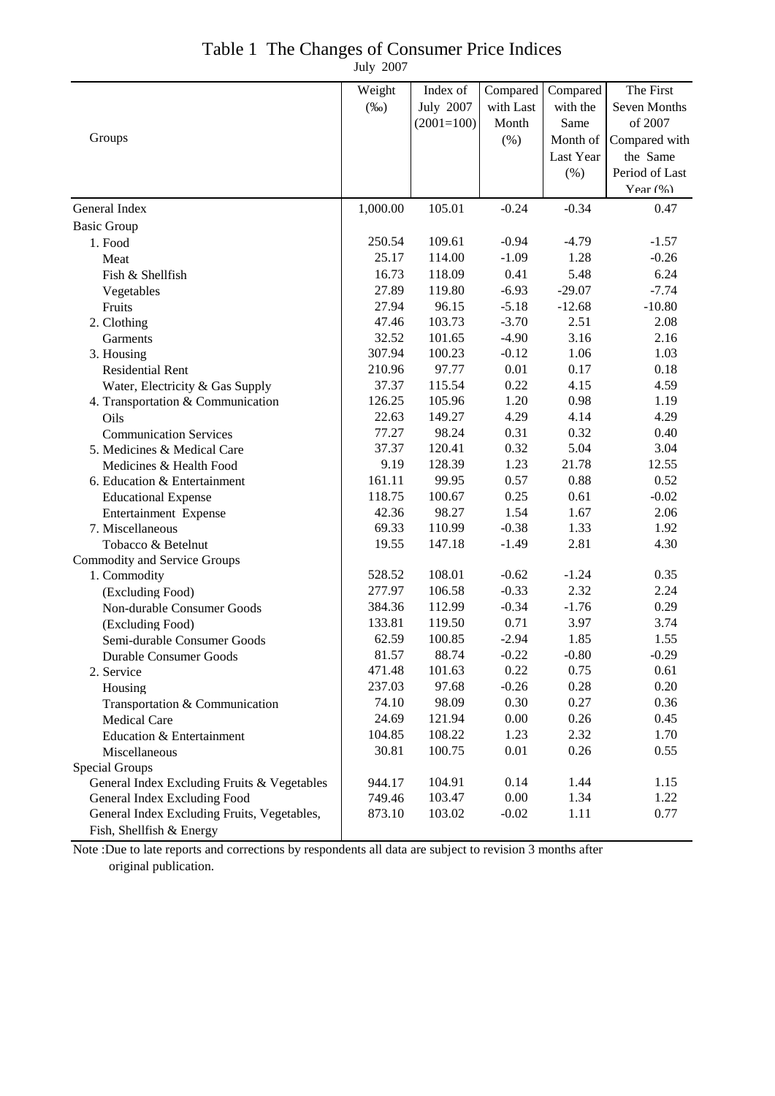| Table 1 The Changes of Consumer Price Indices |
|-----------------------------------------------|
| July 2007                                     |

|                                             | Weight   | Index of     | Compared  | Compared  | The First      |
|---------------------------------------------|----------|--------------|-----------|-----------|----------------|
|                                             | $(\%0)$  | July 2007    | with Last | with the  | Seven Months   |
| Groups                                      |          | $(2001=100)$ | Month     | Same      | of 2007        |
|                                             |          |              | $(\% )$   | Month of  | Compared with  |
|                                             |          |              |           | Last Year | the Same       |
|                                             |          |              |           | (% )      | Period of Last |
|                                             |          |              |           |           | Year $(\% )$   |
| General Index                               | 1,000.00 | 105.01       | $-0.24$   | $-0.34$   | 0.47           |
| <b>Basic Group</b>                          |          |              |           |           |                |
| 1. Food                                     | 250.54   | 109.61       | $-0.94$   | $-4.79$   | $-1.57$        |
| Meat                                        | 25.17    | 114.00       | $-1.09$   | 1.28      | $-0.26$        |
| Fish & Shellfish                            | 16.73    | 118.09       | 0.41      | 5.48      | 6.24           |
| Vegetables                                  | 27.89    | 119.80       | $-6.93$   | $-29.07$  | $-7.74$        |
| Fruits                                      | 27.94    | 96.15        | $-5.18$   | $-12.68$  | $-10.80$       |
| 2. Clothing                                 | 47.46    | 103.73       | $-3.70$   | 2.51      | 2.08           |
| Garments                                    | 32.52    | 101.65       | $-4.90$   | 3.16      | 2.16           |
| 3. Housing                                  | 307.94   | 100.23       | $-0.12$   | 1.06      | 1.03           |
| <b>Residential Rent</b>                     | 210.96   | 97.77        | 0.01      | 0.17      | 0.18           |
| Water, Electricity & Gas Supply             | 37.37    | 115.54       | 0.22      | 4.15      | 4.59           |
| 4. Transportation & Communication           | 126.25   | 105.96       | 1.20      | 0.98      | 1.19           |
| Oils                                        | 22.63    | 149.27       | 4.29      | 4.14      | 4.29           |
| <b>Communication Services</b>               | 77.27    | 98.24        | 0.31      | 0.32      | 0.40           |
| 5. Medicines & Medical Care                 | 37.37    | 120.41       | 0.32      | 5.04      | 3.04           |
| Medicines & Health Food                     | 9.19     | 128.39       | 1.23      | 21.78     | 12.55          |
| 6. Education & Entertainment                | 161.11   | 99.95        | 0.57      | 0.88      | 0.52           |
| <b>Educational Expense</b>                  | 118.75   | 100.67       | 0.25      | 0.61      | $-0.02$        |
| Entertainment Expense                       | 42.36    | 98.27        | 1.54      | 1.67      | 2.06           |
| 7. Miscellaneous                            | 69.33    | 110.99       | $-0.38$   | 1.33      | 1.92           |
| Tobacco & Betelnut                          | 19.55    | 147.18       | $-1.49$   | 2.81      | 4.30           |
| <b>Commodity and Service Groups</b>         |          |              |           |           |                |
| 1. Commodity                                | 528.52   | 108.01       | $-0.62$   | $-1.24$   | 0.35           |
| (Excluding Food)                            | 277.97   | 106.58       | $-0.33$   | 2.32      | 2.24           |
| Non-durable Consumer Goods                  | 384.36   | 112.99       | $-0.34$   | $-1.76$   | 0.29           |
| (Excluding Food)                            | 133.81   | 119.50       | 0.71      | 3.97      | 3.74           |
| Semi-durable Consumer Goods                 | 62.59    | 100.85       | $-2.94$   | 1.85      | 1.55           |
| Durable Consumer Goods                      | 81.57    | 88.74        | $-0.22$   | $-0.80$   | $-0.29$        |
| 2. Service                                  | 471.48   | 101.63       | 0.22      | 0.75      | 0.61           |
| Housing                                     | 237.03   | 97.68        | $-0.26$   | 0.28      | 0.20           |
| Transportation & Communication              | 74.10    | 98.09        | 0.30      | 0.27      | 0.36           |
| Medical Care                                | 24.69    | 121.94       | 0.00      | 0.26      | 0.45           |
| Education & Entertainment                   | 104.85   | 108.22       | 1.23      | 2.32      | 1.70           |
| Miscellaneous                               | 30.81    | 100.75       | 0.01      | 0.26      | 0.55           |
| Special Groups                              |          |              |           |           |                |
| General Index Excluding Fruits & Vegetables | 944.17   | 104.91       | 0.14      | 1.44      | 1.15           |
| General Index Excluding Food                | 749.46   | 103.47       | 0.00      | 1.34      | 1.22           |
| General Index Excluding Fruits, Vegetables, | 873.10   | 103.02       | $-0.02$   | 1.11      | 0.77           |
| Fish, Shellfish & Energy                    |          |              |           |           |                |

Note :Due to late reports and corrections by respondents all data are subject to revision 3 months after original publication.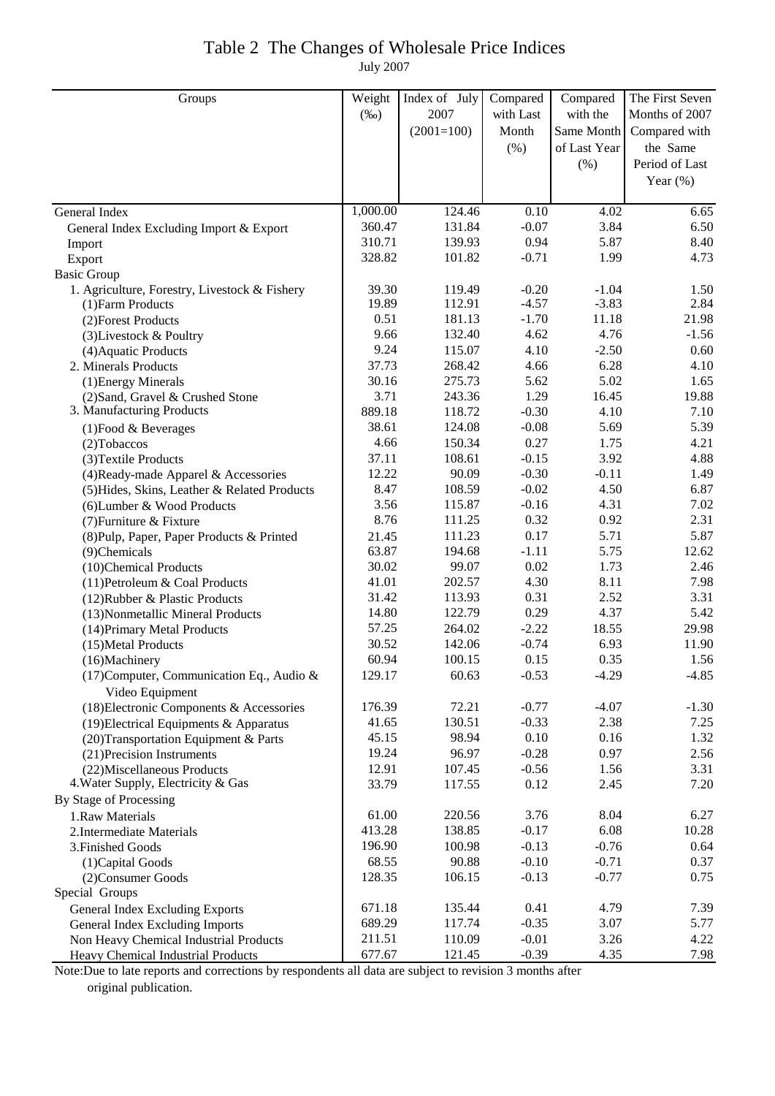# Table 2 The Changes of Wholesale Price Indices

July 2007

| 2007<br>with the<br>Months of 2007<br>$(\%0)$<br>with Last<br>Same Month   Compared with<br>$(2001=100)$<br>Month<br>the Same<br>(% )<br>of Last Year<br>Period of Last<br>$(\% )$<br>Year $(\%)$<br>1,000.00<br>124.46<br>0.10<br>4.02<br>6.65<br>General Index<br>360.47<br>131.84<br>$-0.07$<br>3.84<br>6.50<br>General Index Excluding Import & Export<br>8.40<br>310.71<br>139.93<br>0.94<br>5.87<br>Import<br>328.82<br>101.82<br>$-0.71$<br>1.99<br>4.73<br>Export<br><b>Basic Group</b><br>1. Agriculture, Forestry, Livestock & Fishery<br>39.30<br>119.49<br>$-0.20$<br>$-1.04$<br>1.50<br>19.89<br>112.91<br>$-4.57$<br>$-3.83$<br>2.84<br>(1) Farm Products<br>0.51<br>181.13<br>$-1.70$<br>21.98<br>11.18<br>(2) Forest Products<br>9.66<br>132.40<br>4.62<br>4.76<br>$-1.56$<br>(3) Livestock & Poultry<br>9.24<br>115.07<br>4.10<br>$-2.50$<br>0.60<br>(4) Aquatic Products<br>37.73<br>268.42<br>6.28<br>4.10<br>4.66<br>2. Minerals Products<br>30.16<br>275.73<br>5.62<br>5.02<br>1.65<br>(1) Energy Minerals<br>3.71<br>243.36<br>1.29<br>19.88<br>16.45<br>(2) Sand, Gravel & Crushed Stone<br>3. Manufacturing Products<br>889.18<br>118.72<br>$-0.30$<br>4.10<br>7.10<br>38.61<br>124.08<br>$-0.08$<br>5.69<br>5.39<br>$(1)$ Food & Beverages<br>4.66<br>150.34<br>0.27<br>1.75<br>4.21<br>$(2)$ Tobaccos<br>37.11<br>108.61<br>$-0.15$<br>3.92<br>4.88<br>(3) Textile Products<br>12.22<br>90.09<br>$-0.30$<br>$-0.11$<br>1.49<br>(4) Ready-made Apparel & Accessories<br>8.47<br>108.59<br>$-0.02$<br>4.50<br>6.87<br>(5) Hides, Skins, Leather & Related Products<br>3.56<br>115.87<br>$-0.16$<br>4.31<br>7.02<br>(6) Lumber & Wood Products<br>8.76<br>111.25<br>0.32<br>0.92<br>2.31<br>(7) Furniture & Fixture<br>0.17<br>5.87<br>111.23<br>5.71<br>(8) Pulp, Paper, Paper Products & Printed<br>21.45<br>63.87<br>194.68<br>$-1.11$<br>5.75<br>12.62<br>(9)Chemicals<br>99.07<br>30.02<br>0.02<br>1.73<br>2.46<br>(10)Chemical Products<br>41.01<br>202.57<br>4.30<br>8.11<br>7.98<br>(11) Petroleum & Coal Products<br>31.42<br>113.93<br>0.31<br>2.52<br>3.31<br>(12) Rubber & Plastic Products<br>14.80<br>0.29<br>5.42<br>122.79<br>4.37<br>(13) Nonmetallic Mineral Products<br>57.25<br>264.02<br>$-2.22$<br>18.55<br>29.98<br>(14) Primary Metal Products<br>30.52<br>142.06<br>$-0.74$<br>6.93<br>11.90<br>(15) Metal Products<br>60.94<br>100.15<br>0.15<br>0.35<br>1.56<br>(16)Machinery<br>$-0.53$<br>$-4.85$<br>60.63<br>$-4.29$<br>129.17<br>(17) Computer, Communication Eq., Audio &<br>Video Equipment<br>$-4.07$<br>176.39<br>72.21<br>$-0.77$<br>(18) Electronic Components & Accessories<br>$-1.30$<br>41.65<br>130.51<br>$-0.33$<br>2.38<br>7.25<br>(19) Electrical Equipments & Apparatus<br>45.15<br>98.94<br>0.10<br>0.16<br>1.32<br>(20) Transportation Equipment & Parts<br>19.24<br>96.97<br>$-0.28$<br>0.97<br>2.56<br>(21) Precision Instruments<br>12.91<br>107.45<br>$-0.56$<br>1.56<br>3.31<br>(22) Miscellaneous Products<br>4. Water Supply, Electricity & Gas<br>33.79<br>0.12<br>2.45<br>7.20<br>117.55<br>By Stage of Processing<br>61.00<br>220.56<br>3.76<br>8.04<br>1.Raw Materials<br>6.27<br>413.28<br>138.85<br>$-0.17$<br>6.08<br>10.28<br>2. Intermediate Materials<br>196.90<br>$-0.13$<br>$-0.76$<br>100.98<br>0.64<br>3. Finished Goods<br>68.55<br>90.88<br>$-0.10$<br>$-0.71$<br>0.37<br>(1) Capital Goods<br>128.35<br>106.15<br>$-0.13$<br>$-0.77$<br>0.75<br>(2) Consumer Goods<br>Special Groups<br>135.44<br>0.41<br>671.18<br>4.79<br>7.39<br>General Index Excluding Exports<br>689.29<br>$-0.35$<br>3.07<br>General Index Excluding Imports<br>117.74<br>5.77<br>211.51<br>110.09<br>$-0.01$<br>3.26<br>4.22<br>Non Heavy Chemical Industrial Products<br>677.67<br>121.45<br>$-0.39$<br>4.35<br>7.98<br><b>Heavy Chemical Industrial Products</b> | Groups | Weight | Index of July | Compared | Compared | The First Seven |
|------------------------------------------------------------------------------------------------------------------------------------------------------------------------------------------------------------------------------------------------------------------------------------------------------------------------------------------------------------------------------------------------------------------------------------------------------------------------------------------------------------------------------------------------------------------------------------------------------------------------------------------------------------------------------------------------------------------------------------------------------------------------------------------------------------------------------------------------------------------------------------------------------------------------------------------------------------------------------------------------------------------------------------------------------------------------------------------------------------------------------------------------------------------------------------------------------------------------------------------------------------------------------------------------------------------------------------------------------------------------------------------------------------------------------------------------------------------------------------------------------------------------------------------------------------------------------------------------------------------------------------------------------------------------------------------------------------------------------------------------------------------------------------------------------------------------------------------------------------------------------------------------------------------------------------------------------------------------------------------------------------------------------------------------------------------------------------------------------------------------------------------------------------------------------------------------------------------------------------------------------------------------------------------------------------------------------------------------------------------------------------------------------------------------------------------------------------------------------------------------------------------------------------------------------------------------------------------------------------------------------------------------------------------------------------------------------------------------------------------------------------------------------------------------------------------------------------------------------------------------------------------------------------------------------------------------------------------------------------------------------------------------------------------------------------------------------------------------------------------------------------------------------------------------------------------------------------------------------------------------------------------------------------------------------------------------------------------------------------------------------------------------------------------------------------------------------------------------------------------------------------------------------------------------------------------------------------------------------------------------------------------------------------------------------------------------------------------------------------------------------------------------------------------------------------------------------------------|--------|--------|---------------|----------|----------|-----------------|
|                                                                                                                                                                                                                                                                                                                                                                                                                                                                                                                                                                                                                                                                                                                                                                                                                                                                                                                                                                                                                                                                                                                                                                                                                                                                                                                                                                                                                                                                                                                                                                                                                                                                                                                                                                                                                                                                                                                                                                                                                                                                                                                                                                                                                                                                                                                                                                                                                                                                                                                                                                                                                                                                                                                                                                                                                                                                                                                                                                                                                                                                                                                                                                                                                                                                                                                                                                                                                                                                                                                                                                                                                                                                                                                                                                                                                                          |        |        |               |          |          |                 |
|                                                                                                                                                                                                                                                                                                                                                                                                                                                                                                                                                                                                                                                                                                                                                                                                                                                                                                                                                                                                                                                                                                                                                                                                                                                                                                                                                                                                                                                                                                                                                                                                                                                                                                                                                                                                                                                                                                                                                                                                                                                                                                                                                                                                                                                                                                                                                                                                                                                                                                                                                                                                                                                                                                                                                                                                                                                                                                                                                                                                                                                                                                                                                                                                                                                                                                                                                                                                                                                                                                                                                                                                                                                                                                                                                                                                                                          |        |        |               |          |          |                 |
|                                                                                                                                                                                                                                                                                                                                                                                                                                                                                                                                                                                                                                                                                                                                                                                                                                                                                                                                                                                                                                                                                                                                                                                                                                                                                                                                                                                                                                                                                                                                                                                                                                                                                                                                                                                                                                                                                                                                                                                                                                                                                                                                                                                                                                                                                                                                                                                                                                                                                                                                                                                                                                                                                                                                                                                                                                                                                                                                                                                                                                                                                                                                                                                                                                                                                                                                                                                                                                                                                                                                                                                                                                                                                                                                                                                                                                          |        |        |               |          |          |                 |
|                                                                                                                                                                                                                                                                                                                                                                                                                                                                                                                                                                                                                                                                                                                                                                                                                                                                                                                                                                                                                                                                                                                                                                                                                                                                                                                                                                                                                                                                                                                                                                                                                                                                                                                                                                                                                                                                                                                                                                                                                                                                                                                                                                                                                                                                                                                                                                                                                                                                                                                                                                                                                                                                                                                                                                                                                                                                                                                                                                                                                                                                                                                                                                                                                                                                                                                                                                                                                                                                                                                                                                                                                                                                                                                                                                                                                                          |        |        |               |          |          |                 |
|                                                                                                                                                                                                                                                                                                                                                                                                                                                                                                                                                                                                                                                                                                                                                                                                                                                                                                                                                                                                                                                                                                                                                                                                                                                                                                                                                                                                                                                                                                                                                                                                                                                                                                                                                                                                                                                                                                                                                                                                                                                                                                                                                                                                                                                                                                                                                                                                                                                                                                                                                                                                                                                                                                                                                                                                                                                                                                                                                                                                                                                                                                                                                                                                                                                                                                                                                                                                                                                                                                                                                                                                                                                                                                                                                                                                                                          |        |        |               |          |          |                 |
|                                                                                                                                                                                                                                                                                                                                                                                                                                                                                                                                                                                                                                                                                                                                                                                                                                                                                                                                                                                                                                                                                                                                                                                                                                                                                                                                                                                                                                                                                                                                                                                                                                                                                                                                                                                                                                                                                                                                                                                                                                                                                                                                                                                                                                                                                                                                                                                                                                                                                                                                                                                                                                                                                                                                                                                                                                                                                                                                                                                                                                                                                                                                                                                                                                                                                                                                                                                                                                                                                                                                                                                                                                                                                                                                                                                                                                          |        |        |               |          |          |                 |
|                                                                                                                                                                                                                                                                                                                                                                                                                                                                                                                                                                                                                                                                                                                                                                                                                                                                                                                                                                                                                                                                                                                                                                                                                                                                                                                                                                                                                                                                                                                                                                                                                                                                                                                                                                                                                                                                                                                                                                                                                                                                                                                                                                                                                                                                                                                                                                                                                                                                                                                                                                                                                                                                                                                                                                                                                                                                                                                                                                                                                                                                                                                                                                                                                                                                                                                                                                                                                                                                                                                                                                                                                                                                                                                                                                                                                                          |        |        |               |          |          |                 |
|                                                                                                                                                                                                                                                                                                                                                                                                                                                                                                                                                                                                                                                                                                                                                                                                                                                                                                                                                                                                                                                                                                                                                                                                                                                                                                                                                                                                                                                                                                                                                                                                                                                                                                                                                                                                                                                                                                                                                                                                                                                                                                                                                                                                                                                                                                                                                                                                                                                                                                                                                                                                                                                                                                                                                                                                                                                                                                                                                                                                                                                                                                                                                                                                                                                                                                                                                                                                                                                                                                                                                                                                                                                                                                                                                                                                                                          |        |        |               |          |          |                 |
|                                                                                                                                                                                                                                                                                                                                                                                                                                                                                                                                                                                                                                                                                                                                                                                                                                                                                                                                                                                                                                                                                                                                                                                                                                                                                                                                                                                                                                                                                                                                                                                                                                                                                                                                                                                                                                                                                                                                                                                                                                                                                                                                                                                                                                                                                                                                                                                                                                                                                                                                                                                                                                                                                                                                                                                                                                                                                                                                                                                                                                                                                                                                                                                                                                                                                                                                                                                                                                                                                                                                                                                                                                                                                                                                                                                                                                          |        |        |               |          |          |                 |
|                                                                                                                                                                                                                                                                                                                                                                                                                                                                                                                                                                                                                                                                                                                                                                                                                                                                                                                                                                                                                                                                                                                                                                                                                                                                                                                                                                                                                                                                                                                                                                                                                                                                                                                                                                                                                                                                                                                                                                                                                                                                                                                                                                                                                                                                                                                                                                                                                                                                                                                                                                                                                                                                                                                                                                                                                                                                                                                                                                                                                                                                                                                                                                                                                                                                                                                                                                                                                                                                                                                                                                                                                                                                                                                                                                                                                                          |        |        |               |          |          |                 |
|                                                                                                                                                                                                                                                                                                                                                                                                                                                                                                                                                                                                                                                                                                                                                                                                                                                                                                                                                                                                                                                                                                                                                                                                                                                                                                                                                                                                                                                                                                                                                                                                                                                                                                                                                                                                                                                                                                                                                                                                                                                                                                                                                                                                                                                                                                                                                                                                                                                                                                                                                                                                                                                                                                                                                                                                                                                                                                                                                                                                                                                                                                                                                                                                                                                                                                                                                                                                                                                                                                                                                                                                                                                                                                                                                                                                                                          |        |        |               |          |          |                 |
|                                                                                                                                                                                                                                                                                                                                                                                                                                                                                                                                                                                                                                                                                                                                                                                                                                                                                                                                                                                                                                                                                                                                                                                                                                                                                                                                                                                                                                                                                                                                                                                                                                                                                                                                                                                                                                                                                                                                                                                                                                                                                                                                                                                                                                                                                                                                                                                                                                                                                                                                                                                                                                                                                                                                                                                                                                                                                                                                                                                                                                                                                                                                                                                                                                                                                                                                                                                                                                                                                                                                                                                                                                                                                                                                                                                                                                          |        |        |               |          |          |                 |
|                                                                                                                                                                                                                                                                                                                                                                                                                                                                                                                                                                                                                                                                                                                                                                                                                                                                                                                                                                                                                                                                                                                                                                                                                                                                                                                                                                                                                                                                                                                                                                                                                                                                                                                                                                                                                                                                                                                                                                                                                                                                                                                                                                                                                                                                                                                                                                                                                                                                                                                                                                                                                                                                                                                                                                                                                                                                                                                                                                                                                                                                                                                                                                                                                                                                                                                                                                                                                                                                                                                                                                                                                                                                                                                                                                                                                                          |        |        |               |          |          |                 |
|                                                                                                                                                                                                                                                                                                                                                                                                                                                                                                                                                                                                                                                                                                                                                                                                                                                                                                                                                                                                                                                                                                                                                                                                                                                                                                                                                                                                                                                                                                                                                                                                                                                                                                                                                                                                                                                                                                                                                                                                                                                                                                                                                                                                                                                                                                                                                                                                                                                                                                                                                                                                                                                                                                                                                                                                                                                                                                                                                                                                                                                                                                                                                                                                                                                                                                                                                                                                                                                                                                                                                                                                                                                                                                                                                                                                                                          |        |        |               |          |          |                 |
|                                                                                                                                                                                                                                                                                                                                                                                                                                                                                                                                                                                                                                                                                                                                                                                                                                                                                                                                                                                                                                                                                                                                                                                                                                                                                                                                                                                                                                                                                                                                                                                                                                                                                                                                                                                                                                                                                                                                                                                                                                                                                                                                                                                                                                                                                                                                                                                                                                                                                                                                                                                                                                                                                                                                                                                                                                                                                                                                                                                                                                                                                                                                                                                                                                                                                                                                                                                                                                                                                                                                                                                                                                                                                                                                                                                                                                          |        |        |               |          |          |                 |
|                                                                                                                                                                                                                                                                                                                                                                                                                                                                                                                                                                                                                                                                                                                                                                                                                                                                                                                                                                                                                                                                                                                                                                                                                                                                                                                                                                                                                                                                                                                                                                                                                                                                                                                                                                                                                                                                                                                                                                                                                                                                                                                                                                                                                                                                                                                                                                                                                                                                                                                                                                                                                                                                                                                                                                                                                                                                                                                                                                                                                                                                                                                                                                                                                                                                                                                                                                                                                                                                                                                                                                                                                                                                                                                                                                                                                                          |        |        |               |          |          |                 |
|                                                                                                                                                                                                                                                                                                                                                                                                                                                                                                                                                                                                                                                                                                                                                                                                                                                                                                                                                                                                                                                                                                                                                                                                                                                                                                                                                                                                                                                                                                                                                                                                                                                                                                                                                                                                                                                                                                                                                                                                                                                                                                                                                                                                                                                                                                                                                                                                                                                                                                                                                                                                                                                                                                                                                                                                                                                                                                                                                                                                                                                                                                                                                                                                                                                                                                                                                                                                                                                                                                                                                                                                                                                                                                                                                                                                                                          |        |        |               |          |          |                 |
|                                                                                                                                                                                                                                                                                                                                                                                                                                                                                                                                                                                                                                                                                                                                                                                                                                                                                                                                                                                                                                                                                                                                                                                                                                                                                                                                                                                                                                                                                                                                                                                                                                                                                                                                                                                                                                                                                                                                                                                                                                                                                                                                                                                                                                                                                                                                                                                                                                                                                                                                                                                                                                                                                                                                                                                                                                                                                                                                                                                                                                                                                                                                                                                                                                                                                                                                                                                                                                                                                                                                                                                                                                                                                                                                                                                                                                          |        |        |               |          |          |                 |
|                                                                                                                                                                                                                                                                                                                                                                                                                                                                                                                                                                                                                                                                                                                                                                                                                                                                                                                                                                                                                                                                                                                                                                                                                                                                                                                                                                                                                                                                                                                                                                                                                                                                                                                                                                                                                                                                                                                                                                                                                                                                                                                                                                                                                                                                                                                                                                                                                                                                                                                                                                                                                                                                                                                                                                                                                                                                                                                                                                                                                                                                                                                                                                                                                                                                                                                                                                                                                                                                                                                                                                                                                                                                                                                                                                                                                                          |        |        |               |          |          |                 |
|                                                                                                                                                                                                                                                                                                                                                                                                                                                                                                                                                                                                                                                                                                                                                                                                                                                                                                                                                                                                                                                                                                                                                                                                                                                                                                                                                                                                                                                                                                                                                                                                                                                                                                                                                                                                                                                                                                                                                                                                                                                                                                                                                                                                                                                                                                                                                                                                                                                                                                                                                                                                                                                                                                                                                                                                                                                                                                                                                                                                                                                                                                                                                                                                                                                                                                                                                                                                                                                                                                                                                                                                                                                                                                                                                                                                                                          |        |        |               |          |          |                 |
|                                                                                                                                                                                                                                                                                                                                                                                                                                                                                                                                                                                                                                                                                                                                                                                                                                                                                                                                                                                                                                                                                                                                                                                                                                                                                                                                                                                                                                                                                                                                                                                                                                                                                                                                                                                                                                                                                                                                                                                                                                                                                                                                                                                                                                                                                                                                                                                                                                                                                                                                                                                                                                                                                                                                                                                                                                                                                                                                                                                                                                                                                                                                                                                                                                                                                                                                                                                                                                                                                                                                                                                                                                                                                                                                                                                                                                          |        |        |               |          |          |                 |
|                                                                                                                                                                                                                                                                                                                                                                                                                                                                                                                                                                                                                                                                                                                                                                                                                                                                                                                                                                                                                                                                                                                                                                                                                                                                                                                                                                                                                                                                                                                                                                                                                                                                                                                                                                                                                                                                                                                                                                                                                                                                                                                                                                                                                                                                                                                                                                                                                                                                                                                                                                                                                                                                                                                                                                                                                                                                                                                                                                                                                                                                                                                                                                                                                                                                                                                                                                                                                                                                                                                                                                                                                                                                                                                                                                                                                                          |        |        |               |          |          |                 |
|                                                                                                                                                                                                                                                                                                                                                                                                                                                                                                                                                                                                                                                                                                                                                                                                                                                                                                                                                                                                                                                                                                                                                                                                                                                                                                                                                                                                                                                                                                                                                                                                                                                                                                                                                                                                                                                                                                                                                                                                                                                                                                                                                                                                                                                                                                                                                                                                                                                                                                                                                                                                                                                                                                                                                                                                                                                                                                                                                                                                                                                                                                                                                                                                                                                                                                                                                                                                                                                                                                                                                                                                                                                                                                                                                                                                                                          |        |        |               |          |          |                 |
|                                                                                                                                                                                                                                                                                                                                                                                                                                                                                                                                                                                                                                                                                                                                                                                                                                                                                                                                                                                                                                                                                                                                                                                                                                                                                                                                                                                                                                                                                                                                                                                                                                                                                                                                                                                                                                                                                                                                                                                                                                                                                                                                                                                                                                                                                                                                                                                                                                                                                                                                                                                                                                                                                                                                                                                                                                                                                                                                                                                                                                                                                                                                                                                                                                                                                                                                                                                                                                                                                                                                                                                                                                                                                                                                                                                                                                          |        |        |               |          |          |                 |
|                                                                                                                                                                                                                                                                                                                                                                                                                                                                                                                                                                                                                                                                                                                                                                                                                                                                                                                                                                                                                                                                                                                                                                                                                                                                                                                                                                                                                                                                                                                                                                                                                                                                                                                                                                                                                                                                                                                                                                                                                                                                                                                                                                                                                                                                                                                                                                                                                                                                                                                                                                                                                                                                                                                                                                                                                                                                                                                                                                                                                                                                                                                                                                                                                                                                                                                                                                                                                                                                                                                                                                                                                                                                                                                                                                                                                                          |        |        |               |          |          |                 |
|                                                                                                                                                                                                                                                                                                                                                                                                                                                                                                                                                                                                                                                                                                                                                                                                                                                                                                                                                                                                                                                                                                                                                                                                                                                                                                                                                                                                                                                                                                                                                                                                                                                                                                                                                                                                                                                                                                                                                                                                                                                                                                                                                                                                                                                                                                                                                                                                                                                                                                                                                                                                                                                                                                                                                                                                                                                                                                                                                                                                                                                                                                                                                                                                                                                                                                                                                                                                                                                                                                                                                                                                                                                                                                                                                                                                                                          |        |        |               |          |          |                 |
|                                                                                                                                                                                                                                                                                                                                                                                                                                                                                                                                                                                                                                                                                                                                                                                                                                                                                                                                                                                                                                                                                                                                                                                                                                                                                                                                                                                                                                                                                                                                                                                                                                                                                                                                                                                                                                                                                                                                                                                                                                                                                                                                                                                                                                                                                                                                                                                                                                                                                                                                                                                                                                                                                                                                                                                                                                                                                                                                                                                                                                                                                                                                                                                                                                                                                                                                                                                                                                                                                                                                                                                                                                                                                                                                                                                                                                          |        |        |               |          |          |                 |
|                                                                                                                                                                                                                                                                                                                                                                                                                                                                                                                                                                                                                                                                                                                                                                                                                                                                                                                                                                                                                                                                                                                                                                                                                                                                                                                                                                                                                                                                                                                                                                                                                                                                                                                                                                                                                                                                                                                                                                                                                                                                                                                                                                                                                                                                                                                                                                                                                                                                                                                                                                                                                                                                                                                                                                                                                                                                                                                                                                                                                                                                                                                                                                                                                                                                                                                                                                                                                                                                                                                                                                                                                                                                                                                                                                                                                                          |        |        |               |          |          |                 |
|                                                                                                                                                                                                                                                                                                                                                                                                                                                                                                                                                                                                                                                                                                                                                                                                                                                                                                                                                                                                                                                                                                                                                                                                                                                                                                                                                                                                                                                                                                                                                                                                                                                                                                                                                                                                                                                                                                                                                                                                                                                                                                                                                                                                                                                                                                                                                                                                                                                                                                                                                                                                                                                                                                                                                                                                                                                                                                                                                                                                                                                                                                                                                                                                                                                                                                                                                                                                                                                                                                                                                                                                                                                                                                                                                                                                                                          |        |        |               |          |          |                 |
|                                                                                                                                                                                                                                                                                                                                                                                                                                                                                                                                                                                                                                                                                                                                                                                                                                                                                                                                                                                                                                                                                                                                                                                                                                                                                                                                                                                                                                                                                                                                                                                                                                                                                                                                                                                                                                                                                                                                                                                                                                                                                                                                                                                                                                                                                                                                                                                                                                                                                                                                                                                                                                                                                                                                                                                                                                                                                                                                                                                                                                                                                                                                                                                                                                                                                                                                                                                                                                                                                                                                                                                                                                                                                                                                                                                                                                          |        |        |               |          |          |                 |
|                                                                                                                                                                                                                                                                                                                                                                                                                                                                                                                                                                                                                                                                                                                                                                                                                                                                                                                                                                                                                                                                                                                                                                                                                                                                                                                                                                                                                                                                                                                                                                                                                                                                                                                                                                                                                                                                                                                                                                                                                                                                                                                                                                                                                                                                                                                                                                                                                                                                                                                                                                                                                                                                                                                                                                                                                                                                                                                                                                                                                                                                                                                                                                                                                                                                                                                                                                                                                                                                                                                                                                                                                                                                                                                                                                                                                                          |        |        |               |          |          |                 |
|                                                                                                                                                                                                                                                                                                                                                                                                                                                                                                                                                                                                                                                                                                                                                                                                                                                                                                                                                                                                                                                                                                                                                                                                                                                                                                                                                                                                                                                                                                                                                                                                                                                                                                                                                                                                                                                                                                                                                                                                                                                                                                                                                                                                                                                                                                                                                                                                                                                                                                                                                                                                                                                                                                                                                                                                                                                                                                                                                                                                                                                                                                                                                                                                                                                                                                                                                                                                                                                                                                                                                                                                                                                                                                                                                                                                                                          |        |        |               |          |          |                 |
|                                                                                                                                                                                                                                                                                                                                                                                                                                                                                                                                                                                                                                                                                                                                                                                                                                                                                                                                                                                                                                                                                                                                                                                                                                                                                                                                                                                                                                                                                                                                                                                                                                                                                                                                                                                                                                                                                                                                                                                                                                                                                                                                                                                                                                                                                                                                                                                                                                                                                                                                                                                                                                                                                                                                                                                                                                                                                                                                                                                                                                                                                                                                                                                                                                                                                                                                                                                                                                                                                                                                                                                                                                                                                                                                                                                                                                          |        |        |               |          |          |                 |
|                                                                                                                                                                                                                                                                                                                                                                                                                                                                                                                                                                                                                                                                                                                                                                                                                                                                                                                                                                                                                                                                                                                                                                                                                                                                                                                                                                                                                                                                                                                                                                                                                                                                                                                                                                                                                                                                                                                                                                                                                                                                                                                                                                                                                                                                                                                                                                                                                                                                                                                                                                                                                                                                                                                                                                                                                                                                                                                                                                                                                                                                                                                                                                                                                                                                                                                                                                                                                                                                                                                                                                                                                                                                                                                                                                                                                                          |        |        |               |          |          |                 |
|                                                                                                                                                                                                                                                                                                                                                                                                                                                                                                                                                                                                                                                                                                                                                                                                                                                                                                                                                                                                                                                                                                                                                                                                                                                                                                                                                                                                                                                                                                                                                                                                                                                                                                                                                                                                                                                                                                                                                                                                                                                                                                                                                                                                                                                                                                                                                                                                                                                                                                                                                                                                                                                                                                                                                                                                                                                                                                                                                                                                                                                                                                                                                                                                                                                                                                                                                                                                                                                                                                                                                                                                                                                                                                                                                                                                                                          |        |        |               |          |          |                 |
|                                                                                                                                                                                                                                                                                                                                                                                                                                                                                                                                                                                                                                                                                                                                                                                                                                                                                                                                                                                                                                                                                                                                                                                                                                                                                                                                                                                                                                                                                                                                                                                                                                                                                                                                                                                                                                                                                                                                                                                                                                                                                                                                                                                                                                                                                                                                                                                                                                                                                                                                                                                                                                                                                                                                                                                                                                                                                                                                                                                                                                                                                                                                                                                                                                                                                                                                                                                                                                                                                                                                                                                                                                                                                                                                                                                                                                          |        |        |               |          |          |                 |
|                                                                                                                                                                                                                                                                                                                                                                                                                                                                                                                                                                                                                                                                                                                                                                                                                                                                                                                                                                                                                                                                                                                                                                                                                                                                                                                                                                                                                                                                                                                                                                                                                                                                                                                                                                                                                                                                                                                                                                                                                                                                                                                                                                                                                                                                                                                                                                                                                                                                                                                                                                                                                                                                                                                                                                                                                                                                                                                                                                                                                                                                                                                                                                                                                                                                                                                                                                                                                                                                                                                                                                                                                                                                                                                                                                                                                                          |        |        |               |          |          |                 |
|                                                                                                                                                                                                                                                                                                                                                                                                                                                                                                                                                                                                                                                                                                                                                                                                                                                                                                                                                                                                                                                                                                                                                                                                                                                                                                                                                                                                                                                                                                                                                                                                                                                                                                                                                                                                                                                                                                                                                                                                                                                                                                                                                                                                                                                                                                                                                                                                                                                                                                                                                                                                                                                                                                                                                                                                                                                                                                                                                                                                                                                                                                                                                                                                                                                                                                                                                                                                                                                                                                                                                                                                                                                                                                                                                                                                                                          |        |        |               |          |          |                 |
|                                                                                                                                                                                                                                                                                                                                                                                                                                                                                                                                                                                                                                                                                                                                                                                                                                                                                                                                                                                                                                                                                                                                                                                                                                                                                                                                                                                                                                                                                                                                                                                                                                                                                                                                                                                                                                                                                                                                                                                                                                                                                                                                                                                                                                                                                                                                                                                                                                                                                                                                                                                                                                                                                                                                                                                                                                                                                                                                                                                                                                                                                                                                                                                                                                                                                                                                                                                                                                                                                                                                                                                                                                                                                                                                                                                                                                          |        |        |               |          |          |                 |
|                                                                                                                                                                                                                                                                                                                                                                                                                                                                                                                                                                                                                                                                                                                                                                                                                                                                                                                                                                                                                                                                                                                                                                                                                                                                                                                                                                                                                                                                                                                                                                                                                                                                                                                                                                                                                                                                                                                                                                                                                                                                                                                                                                                                                                                                                                                                                                                                                                                                                                                                                                                                                                                                                                                                                                                                                                                                                                                                                                                                                                                                                                                                                                                                                                                                                                                                                                                                                                                                                                                                                                                                                                                                                                                                                                                                                                          |        |        |               |          |          |                 |
|                                                                                                                                                                                                                                                                                                                                                                                                                                                                                                                                                                                                                                                                                                                                                                                                                                                                                                                                                                                                                                                                                                                                                                                                                                                                                                                                                                                                                                                                                                                                                                                                                                                                                                                                                                                                                                                                                                                                                                                                                                                                                                                                                                                                                                                                                                                                                                                                                                                                                                                                                                                                                                                                                                                                                                                                                                                                                                                                                                                                                                                                                                                                                                                                                                                                                                                                                                                                                                                                                                                                                                                                                                                                                                                                                                                                                                          |        |        |               |          |          |                 |
|                                                                                                                                                                                                                                                                                                                                                                                                                                                                                                                                                                                                                                                                                                                                                                                                                                                                                                                                                                                                                                                                                                                                                                                                                                                                                                                                                                                                                                                                                                                                                                                                                                                                                                                                                                                                                                                                                                                                                                                                                                                                                                                                                                                                                                                                                                                                                                                                                                                                                                                                                                                                                                                                                                                                                                                                                                                                                                                                                                                                                                                                                                                                                                                                                                                                                                                                                                                                                                                                                                                                                                                                                                                                                                                                                                                                                                          |        |        |               |          |          |                 |
|                                                                                                                                                                                                                                                                                                                                                                                                                                                                                                                                                                                                                                                                                                                                                                                                                                                                                                                                                                                                                                                                                                                                                                                                                                                                                                                                                                                                                                                                                                                                                                                                                                                                                                                                                                                                                                                                                                                                                                                                                                                                                                                                                                                                                                                                                                                                                                                                                                                                                                                                                                                                                                                                                                                                                                                                                                                                                                                                                                                                                                                                                                                                                                                                                                                                                                                                                                                                                                                                                                                                                                                                                                                                                                                                                                                                                                          |        |        |               |          |          |                 |
|                                                                                                                                                                                                                                                                                                                                                                                                                                                                                                                                                                                                                                                                                                                                                                                                                                                                                                                                                                                                                                                                                                                                                                                                                                                                                                                                                                                                                                                                                                                                                                                                                                                                                                                                                                                                                                                                                                                                                                                                                                                                                                                                                                                                                                                                                                                                                                                                                                                                                                                                                                                                                                                                                                                                                                                                                                                                                                                                                                                                                                                                                                                                                                                                                                                                                                                                                                                                                                                                                                                                                                                                                                                                                                                                                                                                                                          |        |        |               |          |          |                 |
|                                                                                                                                                                                                                                                                                                                                                                                                                                                                                                                                                                                                                                                                                                                                                                                                                                                                                                                                                                                                                                                                                                                                                                                                                                                                                                                                                                                                                                                                                                                                                                                                                                                                                                                                                                                                                                                                                                                                                                                                                                                                                                                                                                                                                                                                                                                                                                                                                                                                                                                                                                                                                                                                                                                                                                                                                                                                                                                                                                                                                                                                                                                                                                                                                                                                                                                                                                                                                                                                                                                                                                                                                                                                                                                                                                                                                                          |        |        |               |          |          |                 |
|                                                                                                                                                                                                                                                                                                                                                                                                                                                                                                                                                                                                                                                                                                                                                                                                                                                                                                                                                                                                                                                                                                                                                                                                                                                                                                                                                                                                                                                                                                                                                                                                                                                                                                                                                                                                                                                                                                                                                                                                                                                                                                                                                                                                                                                                                                                                                                                                                                                                                                                                                                                                                                                                                                                                                                                                                                                                                                                                                                                                                                                                                                                                                                                                                                                                                                                                                                                                                                                                                                                                                                                                                                                                                                                                                                                                                                          |        |        |               |          |          |                 |
|                                                                                                                                                                                                                                                                                                                                                                                                                                                                                                                                                                                                                                                                                                                                                                                                                                                                                                                                                                                                                                                                                                                                                                                                                                                                                                                                                                                                                                                                                                                                                                                                                                                                                                                                                                                                                                                                                                                                                                                                                                                                                                                                                                                                                                                                                                                                                                                                                                                                                                                                                                                                                                                                                                                                                                                                                                                                                                                                                                                                                                                                                                                                                                                                                                                                                                                                                                                                                                                                                                                                                                                                                                                                                                                                                                                                                                          |        |        |               |          |          |                 |
|                                                                                                                                                                                                                                                                                                                                                                                                                                                                                                                                                                                                                                                                                                                                                                                                                                                                                                                                                                                                                                                                                                                                                                                                                                                                                                                                                                                                                                                                                                                                                                                                                                                                                                                                                                                                                                                                                                                                                                                                                                                                                                                                                                                                                                                                                                                                                                                                                                                                                                                                                                                                                                                                                                                                                                                                                                                                                                                                                                                                                                                                                                                                                                                                                                                                                                                                                                                                                                                                                                                                                                                                                                                                                                                                                                                                                                          |        |        |               |          |          |                 |
|                                                                                                                                                                                                                                                                                                                                                                                                                                                                                                                                                                                                                                                                                                                                                                                                                                                                                                                                                                                                                                                                                                                                                                                                                                                                                                                                                                                                                                                                                                                                                                                                                                                                                                                                                                                                                                                                                                                                                                                                                                                                                                                                                                                                                                                                                                                                                                                                                                                                                                                                                                                                                                                                                                                                                                                                                                                                                                                                                                                                                                                                                                                                                                                                                                                                                                                                                                                                                                                                                                                                                                                                                                                                                                                                                                                                                                          |        |        |               |          |          |                 |
|                                                                                                                                                                                                                                                                                                                                                                                                                                                                                                                                                                                                                                                                                                                                                                                                                                                                                                                                                                                                                                                                                                                                                                                                                                                                                                                                                                                                                                                                                                                                                                                                                                                                                                                                                                                                                                                                                                                                                                                                                                                                                                                                                                                                                                                                                                                                                                                                                                                                                                                                                                                                                                                                                                                                                                                                                                                                                                                                                                                                                                                                                                                                                                                                                                                                                                                                                                                                                                                                                                                                                                                                                                                                                                                                                                                                                                          |        |        |               |          |          |                 |
|                                                                                                                                                                                                                                                                                                                                                                                                                                                                                                                                                                                                                                                                                                                                                                                                                                                                                                                                                                                                                                                                                                                                                                                                                                                                                                                                                                                                                                                                                                                                                                                                                                                                                                                                                                                                                                                                                                                                                                                                                                                                                                                                                                                                                                                                                                                                                                                                                                                                                                                                                                                                                                                                                                                                                                                                                                                                                                                                                                                                                                                                                                                                                                                                                                                                                                                                                                                                                                                                                                                                                                                                                                                                                                                                                                                                                                          |        |        |               |          |          |                 |
|                                                                                                                                                                                                                                                                                                                                                                                                                                                                                                                                                                                                                                                                                                                                                                                                                                                                                                                                                                                                                                                                                                                                                                                                                                                                                                                                                                                                                                                                                                                                                                                                                                                                                                                                                                                                                                                                                                                                                                                                                                                                                                                                                                                                                                                                                                                                                                                                                                                                                                                                                                                                                                                                                                                                                                                                                                                                                                                                                                                                                                                                                                                                                                                                                                                                                                                                                                                                                                                                                                                                                                                                                                                                                                                                                                                                                                          |        |        |               |          |          |                 |
|                                                                                                                                                                                                                                                                                                                                                                                                                                                                                                                                                                                                                                                                                                                                                                                                                                                                                                                                                                                                                                                                                                                                                                                                                                                                                                                                                                                                                                                                                                                                                                                                                                                                                                                                                                                                                                                                                                                                                                                                                                                                                                                                                                                                                                                                                                                                                                                                                                                                                                                                                                                                                                                                                                                                                                                                                                                                                                                                                                                                                                                                                                                                                                                                                                                                                                                                                                                                                                                                                                                                                                                                                                                                                                                                                                                                                                          |        |        |               |          |          |                 |
|                                                                                                                                                                                                                                                                                                                                                                                                                                                                                                                                                                                                                                                                                                                                                                                                                                                                                                                                                                                                                                                                                                                                                                                                                                                                                                                                                                                                                                                                                                                                                                                                                                                                                                                                                                                                                                                                                                                                                                                                                                                                                                                                                                                                                                                                                                                                                                                                                                                                                                                                                                                                                                                                                                                                                                                                                                                                                                                                                                                                                                                                                                                                                                                                                                                                                                                                                                                                                                                                                                                                                                                                                                                                                                                                                                                                                                          |        |        |               |          |          |                 |
|                                                                                                                                                                                                                                                                                                                                                                                                                                                                                                                                                                                                                                                                                                                                                                                                                                                                                                                                                                                                                                                                                                                                                                                                                                                                                                                                                                                                                                                                                                                                                                                                                                                                                                                                                                                                                                                                                                                                                                                                                                                                                                                                                                                                                                                                                                                                                                                                                                                                                                                                                                                                                                                                                                                                                                                                                                                                                                                                                                                                                                                                                                                                                                                                                                                                                                                                                                                                                                                                                                                                                                                                                                                                                                                                                                                                                                          |        |        |               |          |          |                 |

Note:Due to late reports and corrections by respondents all data are subject to revision 3 months after original publication.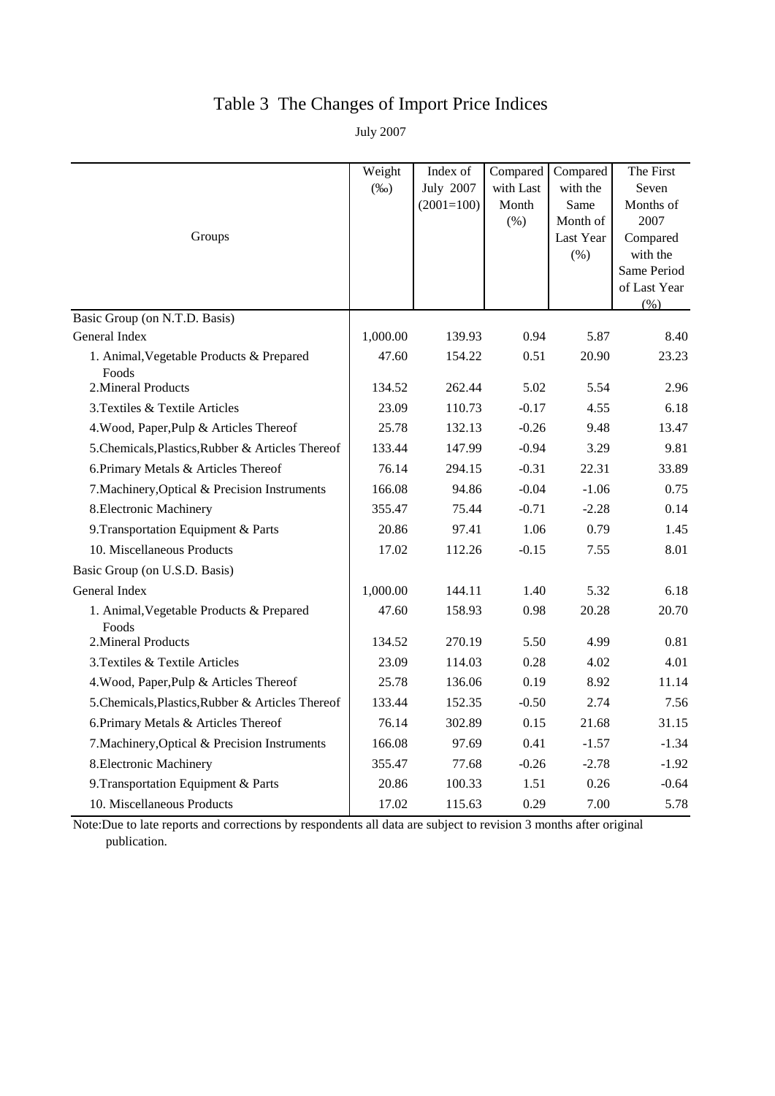# Table 3 The Changes of Import Price Indices

July 2007

|                                                   | Weight   | Index of     | Compared  | Compared  | The First            |
|---------------------------------------------------|----------|--------------|-----------|-----------|----------------------|
|                                                   | $(\%0)$  | July 2007    | with Last | with the  | Seven                |
|                                                   |          | $(2001=100)$ | Month     | Same      | Months of            |
|                                                   |          |              | (% )      | Month of  | 2007                 |
| Groups                                            |          |              |           | Last Year | Compared<br>with the |
|                                                   |          |              |           | (% )      | Same Period          |
|                                                   |          |              |           |           | of Last Year         |
|                                                   |          |              |           |           | (% )                 |
| Basic Group (on N.T.D. Basis)                     |          |              |           |           |                      |
| General Index                                     | 1,000.00 | 139.93       | 0.94      | 5.87      | 8.40                 |
| 1. Animal, Vegetable Products & Prepared<br>Foods | 47.60    | 154.22       | 0.51      | 20.90     | 23.23                |
| 2. Mineral Products                               | 134.52   | 262.44       | 5.02      | 5.54      | 2.96                 |
| 3. Textiles & Textile Articles                    | 23.09    | 110.73       | $-0.17$   | 4.55      | 6.18                 |
| 4. Wood, Paper, Pulp & Articles Thereof           | 25.78    | 132.13       | $-0.26$   | 9.48      | 13.47                |
| 5. Chemicals, Plastics, Rubber & Articles Thereof | 133.44   | 147.99       | $-0.94$   | 3.29      | 9.81                 |
| 6. Primary Metals & Articles Thereof              | 76.14    | 294.15       | $-0.31$   | 22.31     | 33.89                |
| 7. Machinery, Optical & Precision Instruments     | 166.08   | 94.86        | $-0.04$   | $-1.06$   | 0.75                 |
| 8. Electronic Machinery                           | 355.47   | 75.44        | $-0.71$   | $-2.28$   | 0.14                 |
| 9. Transportation Equipment & Parts               | 20.86    | 97.41        | 1.06      | 0.79      | 1.45                 |
| 10. Miscellaneous Products                        | 17.02    | 112.26       | $-0.15$   | 7.55      | 8.01                 |
| Basic Group (on U.S.D. Basis)                     |          |              |           |           |                      |
| General Index                                     | 1,000.00 | 144.11       | 1.40      | 5.32      | 6.18                 |
| 1. Animal, Vegetable Products & Prepared<br>Foods | 47.60    | 158.93       | 0.98      | 20.28     | 20.70                |
| 2. Mineral Products                               | 134.52   | 270.19       | 5.50      | 4.99      | 0.81                 |
| 3. Textiles & Textile Articles                    | 23.09    | 114.03       | 0.28      | 4.02      | 4.01                 |
| 4. Wood, Paper, Pulp & Articles Thereof           | 25.78    | 136.06       | 0.19      | 8.92      | 11.14                |
| 5. Chemicals, Plastics, Rubber & Articles Thereof | 133.44   | 152.35       | $-0.50$   | 2.74      | 7.56                 |
| 6. Primary Metals & Articles Thereof              | 76.14    | 302.89       | 0.15      | 21.68     | 31.15                |
| 7. Machinery, Optical & Precision Instruments     | 166.08   | 97.69        | 0.41      | $-1.57$   | $-1.34$              |
| 8. Electronic Machinery                           | 355.47   | 77.68        | $-0.26$   | $-2.78$   | $-1.92$              |
| 9. Transportation Equipment & Parts               | 20.86    | 100.33       | 1.51      | 0.26      | $-0.64$              |
| 10. Miscellaneous Products                        | 17.02    | 115.63       | 0.29      | 7.00      | 5.78                 |

Note:Due to late reports and corrections by respondents all data are subject to revision 3 months after original publication.